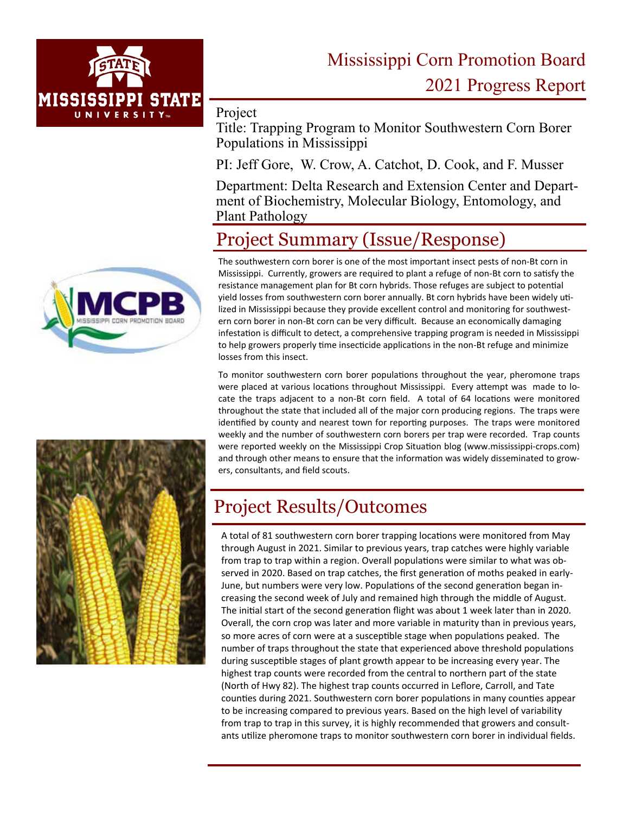

# Mississippi Corn Promotion Board 2021 Progress Report

Project

Title: Trapping Program to Monitor Southwestern Corn Borer Populations in Mississippi

PI: Jeff Gore, W. Crow, A. Catchot, D. Cook, and F. Musser

Department: Delta Research and Extension Center and Department of Biochemistry, Molecular Biology, Entomology, and Plant Pathology

## Project Summary (Issue/Response)

The southwestern corn borer is one of the most important insect pests of non-Bt corn in Mississippi. Currently, growers are required to plant a refuge of non-Bt corn to satisfy the resistance management plan for Bt corn hybrids. Those refuges are subject to potential yield losses from southwestern corn borer annually. Bt corn hybrids have been widely utilized in Mississippi because they provide excellent control and monitoring for southwestern corn borer in non-Bt corn can be very difficult. Because an economically damaging infestation is difficult to detect, a comprehensive trapping program is needed in Mississippi to help growers properly time insecticide applications in the non-Bt refuge and minimize losses from this insect.

To monitor southwestern corn borer populations throughout the year, pheromone traps were placed at various locations throughout Mississippi. Every attempt was made to locate the traps adjacent to a non-Bt corn field. A total of 64 locations were monitored throughout the state that included all of the major corn producing regions. The traps were identified by county and nearest town for reporting purposes. The traps were monitored weekly and the number of southwestern corn borers per trap were recorded. Trap counts were reported weekly on the Mississippi Crop Situation blog (www.mississippi-crops.com) and through other means to ensure that the information was widely disseminated to growers, consultants, and field scouts.



## Project Results/Outcomes

A total of 81 southwestern corn borer trapping locations were monitored from May through August in 2021. Similar to previous years, trap catches were highly variable from trap to trap within a region. Overall populations were similar to what was observed in 2020. Based on trap catches, the first generation of moths peaked in early-June, but numbers were very low. Populations of the second generation began increasing the second week of July and remained high through the middle of August. The initial start of the second generation flight was about 1 week later than in 2020. Overall, the corn crop was later and more variable in maturity than in previous years, so more acres of corn were at a susceptible stage when populations peaked. The number of traps throughout the state that experienced above threshold populations during susceptible stages of plant growth appear to be increasing every year. The highest trap counts were recorded from the central to northern part of the state (North of Hwy 82). The highest trap counts occurred in Leflore, Carroll, and Tate counties during 2021. Southwestern corn borer populations in many counties appear to be increasing compared to previous years. Based on the high level of variability from trap to trap in this survey, it is highly recommended that growers and consultants utilize pheromone traps to monitor southwestern corn borer in individual fields.